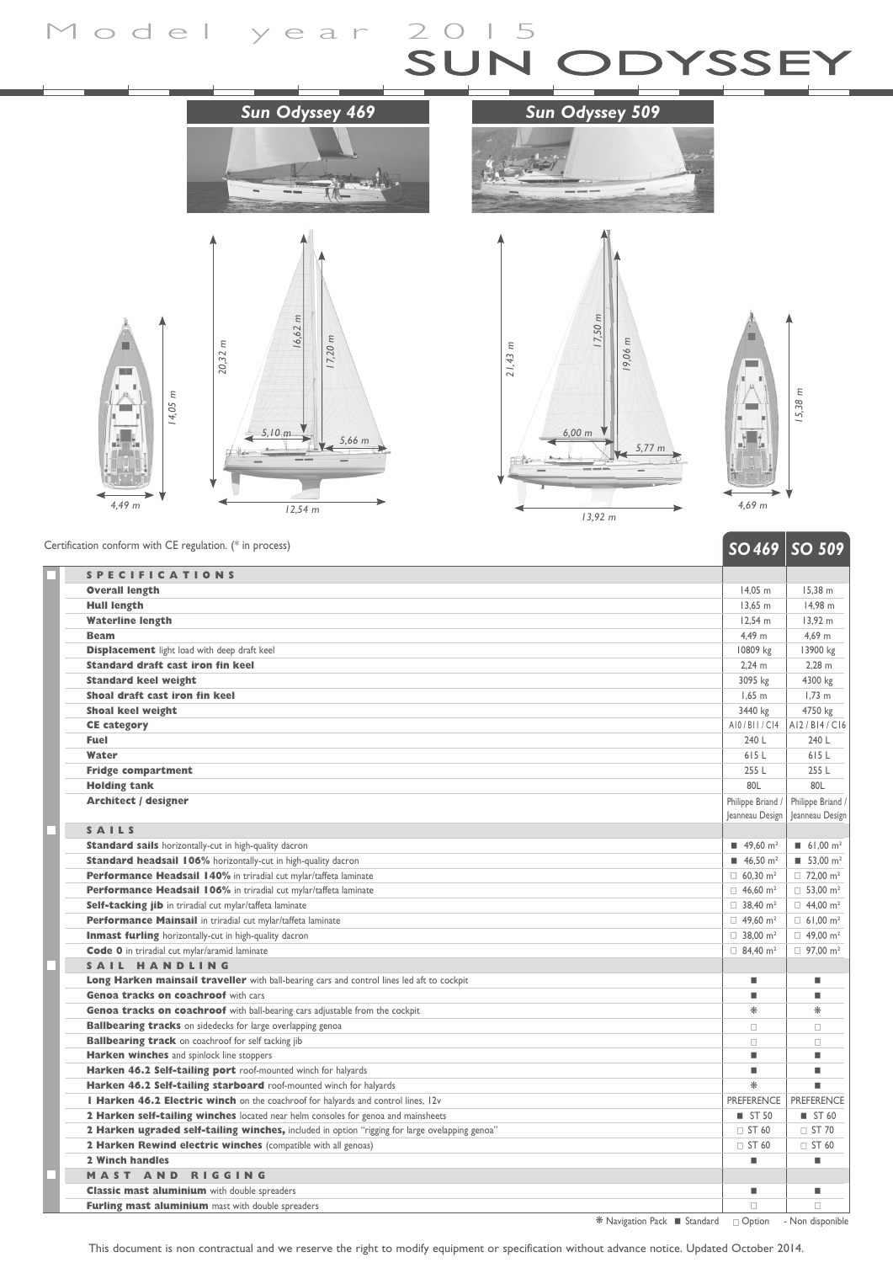## Model year 2015 ODYSSEY









 *SO 469 SO 509* Certification conform with CE regulation. (\* in process)

|                                                                                                | JU TU /                             | JU JUZ                              |
|------------------------------------------------------------------------------------------------|-------------------------------------|-------------------------------------|
| <b>SPECIFICATIONS</b>                                                                          |                                     |                                     |
| <b>Overall length</b>                                                                          | 14.05 m                             | 15.38 m                             |
| <b>Hull length</b>                                                                             | $13,65$ m                           | 14,98 m                             |
| <b>Waterline length</b>                                                                        | 12.54 m                             | 13,92 m                             |
| <b>Beam</b>                                                                                    | 4,49 m                              | 4,69 m                              |
| <b>Displacement</b> light load with deep draft keel                                            | 10809 kg                            | 13900 kg                            |
| <b>Standard draft cast iron fin keel</b>                                                       | $2,24 \, m$                         | $2,28$ m                            |
| <b>Standard keel weight</b>                                                                    | 3095 kg                             | 4300 kg                             |
| Shoal draft cast iron fin keel                                                                 | $1,65$ m                            | $1,73$ m                            |
| <b>Shoal keel weight</b>                                                                       | 3440 kg                             | 4750 kg                             |
| <b>CE category</b>                                                                             | A10/B11/C14                         | AI2/BI4/CI6                         |
| <b>Fuel</b>                                                                                    | 240 L                               | 240 L                               |
| Water                                                                                          | 615L                                | 615L                                |
| <b>Fridge compartment</b>                                                                      | 255 L                               | 255 L                               |
| <b>Holding tank</b>                                                                            | 80L                                 | 80L                                 |
| <b>Architect / designer</b>                                                                    | Philippe Briand                     | Philippe Briand                     |
|                                                                                                | Jeanneau Design                     | Jeanneau Design                     |
| SAILS                                                                                          |                                     |                                     |
| <b>Standard sails</b> horizontally-cut in high-quality dacron                                  | $\blacksquare$ 49,60 m <sup>2</sup> | $\blacksquare$ 61,00 m <sup>2</sup> |
| <b>Standard headsail 106%</b> horizontally-cut in high-quality dacron                          | 46.50 m <sup>2</sup>                | $\blacksquare$ 53.00 m <sup>2</sup> |
| Performance Headsail 140% in triradial cut mylar/taffeta laminate                              | $\Box$ 60,30 m <sup>2</sup>         | $\Box$ 72,00 m <sup>2</sup>         |
| Performance Headsail 106% in triradial cut mylar/taffeta laminate                              | $\Box$ 46.60 m <sup>2</sup>         | $\Box$ 53.00 m <sup>2</sup>         |
| Self-tacking jib in triradial cut mylar/taffeta laminate                                       | $\Box$ 38,40 m <sup>2</sup>         | $\Box$ 44,00 m <sup>2</sup>         |
| Performance Mainsail in triradial cut mylar/taffeta laminate                                   | $\Box$ 49,60 m <sup>2</sup>         | $\Box$ 61,00 m <sup>2</sup>         |
| Inmast furling horizontally-cut in high-quality dacron                                         | $\Box$ 38,00 m <sup>2</sup>         | $\Box$ 49,00 m <sup>2</sup>         |
| Code 0 in triradial cut mylar/aramid laminate                                                  | $\Box$ 84.40 m <sup>2</sup>         | $\Box$ 97,00 m <sup>2</sup>         |
| SAIL HANDLING                                                                                  |                                     |                                     |
| Long Harken mainsail traveller with ball-bearing cars and control lines led aft to cockpit     | ٠                                   | ш                                   |
| Genoa tracks on coachroof with cars                                                            | ٠                                   | ш                                   |
| Genoa tracks on coachroof with ball-bearing cars adjustable from the cockpit                   | $*$                                 | $\ast$                              |
| <b>Ballbearing tracks</b> on sidedecks for large overlapping genoa                             | $\Box$                              | $\Box$                              |
| <b>Ballbearing track</b> on coachroof for self tacking jib                                     | $\Box$                              | $\Box$                              |
| Harken winches and spinlock line stoppers                                                      | ٠                                   | ٠                                   |
| Harken 46.2 Self-tailing port roof-mounted winch for halyards                                  | ٠                                   | ш                                   |
| Harken 46.2 Self-tailing starboard roof-mounted winch for halyards                             | ⋇                                   | ٠                                   |
| I Harken 46.2 Electric winch on the coachroof for halyards and control lines, 12v              | <b>PREFERENCE</b>                   | <b>PREFERENCE</b>                   |
| 2 Harken self-tailing winches located near helm consoles for genoa and mainsheets              | $\blacksquare$ ST 50                | ■ ST 60                             |
| 2 Harken ugraded self-tailing winches, included in option "rigging for large ovelapping genoa" | □ ST 60                             | $\Box$ ST 70                        |
| 2 Harken Rewind electric winches (compatible with all genoas)                                  | $\square$ ST 60                     | $\Box$ ST 60                        |
| 2 Winch handles                                                                                | п                                   | ٠                                   |
| <b>MAST AND RIGGING</b>                                                                        |                                     |                                     |
| <b>Classic mast aluminium</b> with double spreaders                                            | п                                   | ш                                   |
| Furling mast aluminium mast with double spreaders                                              | $\Box$                              | $\Box$                              |

\* Navigation Pack Standard c Option - Non disponible

This document is non contractual and we reserve the right to modify equipment or specification without advance notice. Updated October 2014.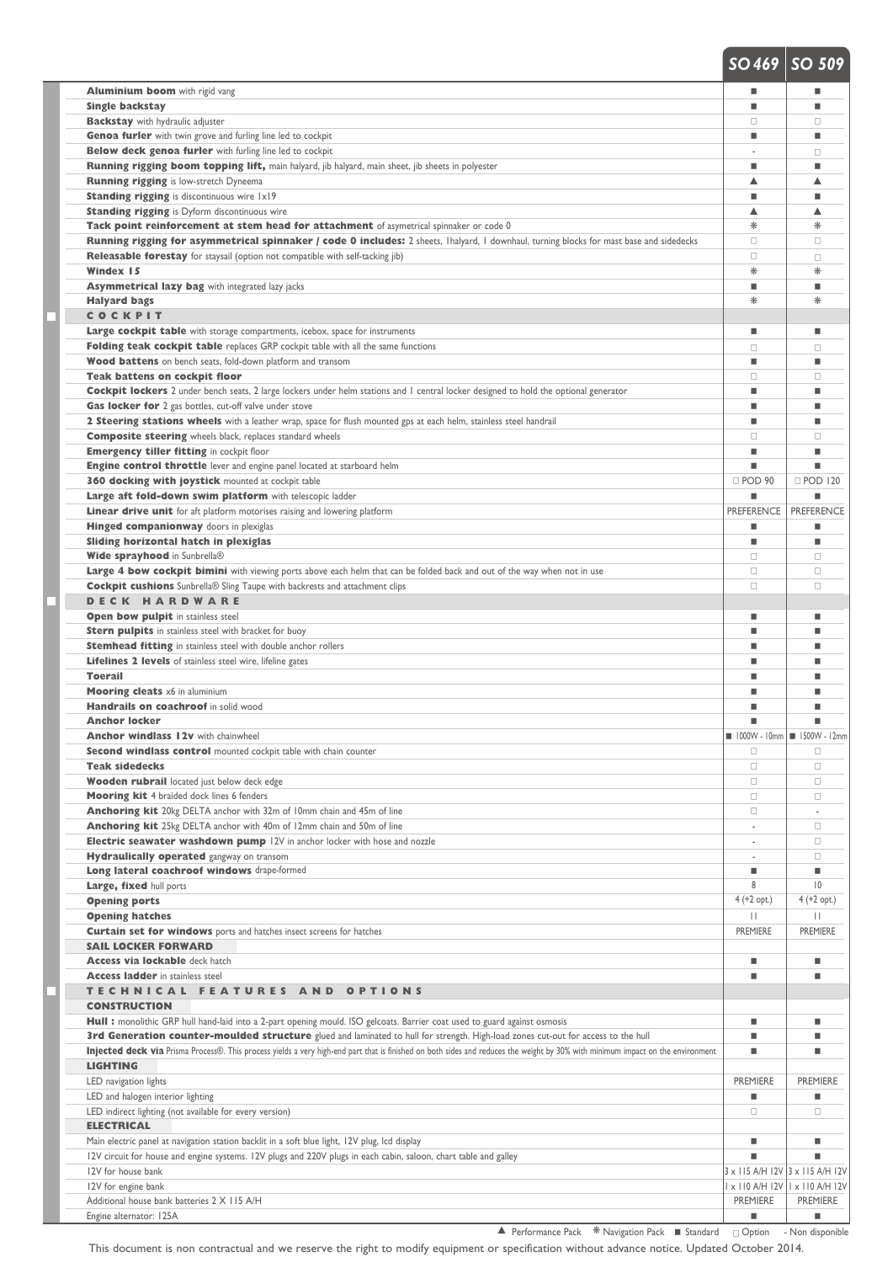|                                                                                                                                                                                 | --                                                      |                                       |
|---------------------------------------------------------------------------------------------------------------------------------------------------------------------------------|---------------------------------------------------------|---------------------------------------|
| <b>Aluminium boom</b> with rigid vang                                                                                                                                           | ш                                                       | ٠                                     |
| <b>Single backstay</b>                                                                                                                                                          | ш                                                       | ٠                                     |
|                                                                                                                                                                                 | $\Box$                                                  | 0                                     |
| <b>Backstay</b> with hydraulic adjuster                                                                                                                                         |                                                         |                                       |
| <b>Genoa furler</b> with twin grove and furling line led to cockpit                                                                                                             | ш                                                       | ٠                                     |
| <b>Below deck genoa furler</b> with furling line led to cockpit                                                                                                                 |                                                         | □                                     |
| <b>Running rigging boom topping lift,</b> main halyard, jib halyard, main sheet, jib sheets in polyester                                                                        | ш                                                       | ٠                                     |
| <b>Running rigging</b> is low-stretch Dyneema                                                                                                                                   | ▲                                                       | ▲                                     |
| <b>Standing rigging</b> is discontinuous wire 1x19                                                                                                                              | ш                                                       | ٠                                     |
| <b>Standing rigging</b> is Dyform discontinuous wire                                                                                                                            | ▲                                                       | ▲                                     |
| Tack point reinforcement at stem head for attachment of asymetrical spinnaker or code 0                                                                                         | ⋇                                                       | ⋇                                     |
| Running rigging for asymmetrical spinnaker / code 0 includes: 2 sheets, Ihalyard, I downhaul, turning blocks for mast base and sidedecks                                        | $\Box$                                                  | □                                     |
|                                                                                                                                                                                 | $\Box$                                                  |                                       |
| <b>Releasable forestay</b> for staysail (option not compatible with self-tacking jib)                                                                                           |                                                         | $\Box$                                |
| Windex 15                                                                                                                                                                       | ⋇                                                       | ₩                                     |
| <b>Asymmetrical lazy bag</b> with integrated lazy jacks                                                                                                                         | ш                                                       | ш                                     |
| <b>Halyard bags</b>                                                                                                                                                             | ⋇                                                       | ⋇                                     |
| COCKPIT                                                                                                                                                                         |                                                         |                                       |
| <b>Large cockpit table</b> with storage compartments, icebox, space for instruments                                                                                             | п                                                       | ٠                                     |
| <b>Folding teak cockpit table</b> replaces GRP cockpit table with all the same functions                                                                                        | $\Box$                                                  | □                                     |
| Wood battens on bench seats, fold-down platform and transom                                                                                                                     | п                                                       | ш                                     |
| <b>Teak battens on cockpit floor</b>                                                                                                                                            | $\Box$                                                  | □                                     |
|                                                                                                                                                                                 |                                                         |                                       |
| <b>Cockpit lockers</b> 2 under bench seats, 2 large lockers under helm stations and 1 central locker designed to hold the optional generator                                    | п                                                       | ш                                     |
| Gas locker for 2 gas bottles, cut-off valve under stove                                                                                                                         | ш                                                       | ٠                                     |
| 2 Steering stations wheels with a leather wrap, space for flush mounted gps at each helm, stainless steel handrail                                                              | ш                                                       | ٠                                     |
| <b>Composite steering</b> wheels black, replaces standard wheels                                                                                                                | $\Box$                                                  | □                                     |
| <b>Emergency tiller fitting in cockpit floor</b>                                                                                                                                | ш                                                       | ш                                     |
| <b>Engine control throttle</b> lever and engine panel located at starboard helm                                                                                                 | п                                                       | п                                     |
| <b>360 docking with joystick mounted at cockpit table</b>                                                                                                                       | DPOD 90                                                 | □ POD 120                             |
| Large aft fold-down swim platform with telescopic ladder                                                                                                                        |                                                         |                                       |
|                                                                                                                                                                                 | <b>PREFERENCE</b>                                       | <b>PREFERENCE</b>                     |
| <b>Linear drive unit</b> for aft platform motorises raising and lowering platform                                                                                               |                                                         |                                       |
| <b>Hinged companionway</b> doors in plexiglas                                                                                                                                   | п                                                       | ٠                                     |
| Sliding horizontal hatch in plexiglas                                                                                                                                           | п                                                       | ш                                     |
| Wide sprayhood in Sunbrella®                                                                                                                                                    | $\Box$                                                  | □                                     |
| Large 4 bow cockpit bimini with viewing ports above each helm that can be folded back and out of the way when not in use                                                        | $\Box$                                                  | $\Box$                                |
| <b>Cockpit cushions</b> Sunbrella® Sling Taupe with backrests and attachment clips                                                                                              | $\Box$                                                  | □                                     |
| <b>DECK HARDWARE</b>                                                                                                                                                            |                                                         |                                       |
| <b>Open bow pulpit in stainless steel</b>                                                                                                                                       | ш                                                       | ٠                                     |
| <b>Stern pulpits</b> in stainless steel with bracket for buoy                                                                                                                   | ш                                                       | ٠                                     |
|                                                                                                                                                                                 | ш                                                       | ٠                                     |
| <b>Stemhead fitting</b> in stainless steel with double anchor rollers                                                                                                           |                                                         |                                       |
| <b>Lifelines 2 levels</b> of stainless steel wire, lifeline gates                                                                                                               | ш                                                       | ٠                                     |
| <b>Toerail</b>                                                                                                                                                                  | п                                                       |                                       |
| <b>Mooring cleats</b> x6 in aluminium                                                                                                                                           | ш                                                       | ٠                                     |
| Handrails on coachroof in solid wood                                                                                                                                            | ш                                                       | ٠                                     |
| <b>Anchor locker</b>                                                                                                                                                            | п                                                       |                                       |
| <b>Anchor windlass 12v</b> with chainwheel                                                                                                                                      | $\blacksquare$ 1000W - 10mm $\blacksquare$ 1500W - 12mm |                                       |
| Second windlass control mounted cockpit table with chain counter                                                                                                                | $\Box$                                                  | $\Box$                                |
| <b>Teak sidedecks</b>                                                                                                                                                           | $\Box$                                                  | $\Box$                                |
| <b>Wooden rubrail</b> located just below deck edge                                                                                                                              | $\Box$                                                  | $\Box$                                |
|                                                                                                                                                                                 | $\Box$                                                  | $\Box$                                |
| Mooring kit 4 braided dock lines 6 fenders                                                                                                                                      |                                                         |                                       |
| Anchoring kit 20kg DELTA anchor with 32m of 10mm chain and 45m of line                                                                                                          | $\Box$                                                  |                                       |
| Anchoring kit 25kg DELTA anchor with 40m of 12mm chain and 50m of line                                                                                                          |                                                         | 0                                     |
| Electric seawater washdown pump 12V in anchor locker with hose and nozzle                                                                                                       |                                                         | $\Box$                                |
| <b>Hydraulically operated</b> gangway on transom                                                                                                                                |                                                         | 0                                     |
| Long lateral coachroof windows drape-formed                                                                                                                                     | п                                                       | ш                                     |
| Large, fixed hull ports                                                                                                                                                         | 8                                                       | $ 0\rangle$                           |
| <b>Opening ports</b>                                                                                                                                                            | $4 (+2 opt.)$                                           | $4 (+2 opt.)$                         |
| <b>Opening hatches</b>                                                                                                                                                          | $\mathbf{H}$                                            | $\mathbf{H}$                          |
| <b>Curtain set for windows</b> ports and hatches insect screens for hatches                                                                                                     | PREMIERE                                                | <b>PREMIERE</b>                       |
| <b>SAIL LOCKER FORWARD</b>                                                                                                                                                      |                                                         |                                       |
|                                                                                                                                                                                 |                                                         |                                       |
| <b>Access via lockable</b> deck hatch                                                                                                                                           | ш                                                       | ш                                     |
| <b>Access ladder</b> in stainless steel                                                                                                                                         | ш                                                       | ш                                     |
| TECHNICAL FEATURES AND OPTIONS                                                                                                                                                  |                                                         |                                       |
| <b>CONSTRUCTION</b>                                                                                                                                                             |                                                         |                                       |
| Hull : monolithic GRP hull hand-laid into a 2-part opening mould. ISO gelcoats. Barrier coat used to guard against osmosis                                                      | ш                                                       | ш                                     |
| 3rd Generation counter-moulded structure glued and laminated to hull for strength. High-load zones cut-out for access to the hull                                               | п                                                       | ٠                                     |
| Injected deck via Prisma Process®. This process yields a very high-end part that is finished on both sides and reduces the weight by 30% with minimum impact on the environment | п                                                       | ш                                     |
| <b>LIGHTING</b>                                                                                                                                                                 |                                                         |                                       |
|                                                                                                                                                                                 |                                                         |                                       |
| LED navigation lights                                                                                                                                                           | <b>PREMIERE</b>                                         | <b>PREMIERE</b>                       |
| LED and halogen interior lighting                                                                                                                                               | П                                                       | ш                                     |
| LED indirect lighting (not available for every version)                                                                                                                         | $\Box$                                                  | 0                                     |
| <b>ELECTRICAL</b>                                                                                                                                                               |                                                         |                                       |
| Main electric panel at navigation station backlit in a soft blue light, 12V plug, lcd display                                                                                   | ٠                                                       | ٠                                     |
| 12V circuit for house and engine systems. 12V plugs and 220V plugs in each cabin, saloon, chart table and galley                                                                | ш                                                       | ш                                     |
| 12V for house bank                                                                                                                                                              | 3 x 115 A/H 12V 3 x 115 A/H 12V                         |                                       |
| 12V for engine bank                                                                                                                                                             |                                                         | I x I I0 A/H I 2V   I x I I0 A/H I 2V |
| Additional house bank batteries 2 X 115 A/H                                                                                                                                     | <b>PREMIERE</b>                                         | <b>PREMIERE</b>                       |
|                                                                                                                                                                                 |                                                         |                                       |
| Engine alternator: 125A                                                                                                                                                         | ш                                                       | ш                                     |

 *SO 469 SO 509*

This document is non contractual and we reserve the right to modify equipment or specification without advance notice. Updated October 2014.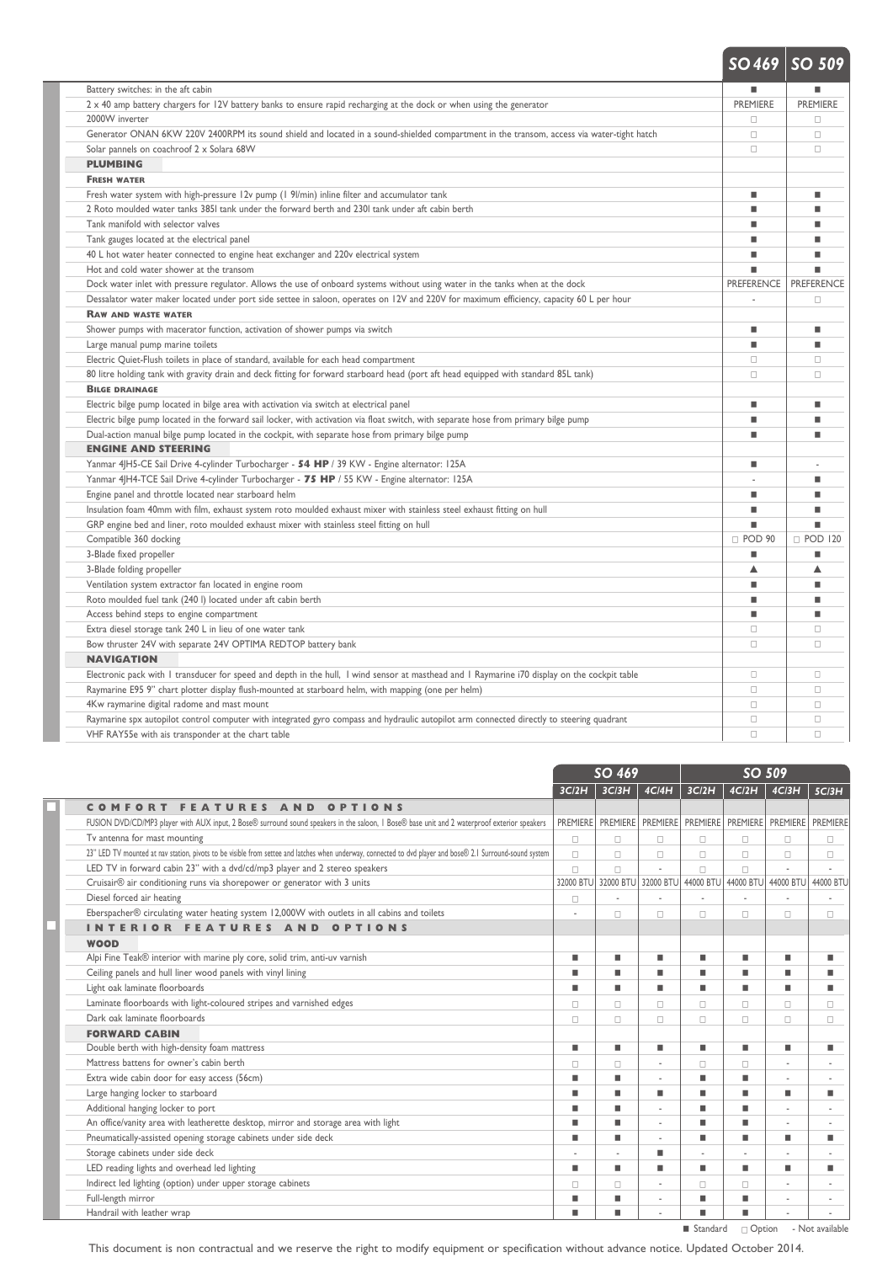|                                                                                                                                               |                   | $SO469$ SO 509    |
|-----------------------------------------------------------------------------------------------------------------------------------------------|-------------------|-------------------|
| Battery switches: in the aft cabin                                                                                                            | ٠                 |                   |
| 2 x 40 amp battery chargers for 12V battery banks to ensure rapid recharging at the dock or when using the generator                          | <b>PREMIERE</b>   | <b>PREMIERE</b>   |
| 2000W inverter                                                                                                                                | $\Box$            | $\Box$            |
| Generator ONAN 6KW 220V 2400RPM its sound shield and located in a sound-shielded compartment in the transom, access via water-tight hatch     | $\Box$            | $\Box$            |
| Solar pannels on coachroof 2 x Solara 68W                                                                                                     | $\Box$            | $\Box$            |
| <b>PLUMBING</b>                                                                                                                               |                   |                   |
| <b>FRESH WATER</b>                                                                                                                            |                   |                   |
| Fresh water system with high-pressure 12v pump (1 9/min) inline filter and accumulator tank                                                   | ٠                 |                   |
| 2 Roto moulded water tanks 385I tank under the forward berth and 230I tank under aft cabin berth                                              | ٠                 |                   |
| Tank manifold with selector valves                                                                                                            | п                 |                   |
| Tank gauges located at the electrical panel                                                                                                   | ٠                 | ٠                 |
| 40 L hot water heater connected to engine heat exchanger and 220v electrical system                                                           | ٠                 |                   |
| Hot and cold water shower at the transom                                                                                                      |                   |                   |
| Dock water inlet with pressure regulator. Allows the use of onboard systems without using water in the tanks when at the dock                 | <b>PREFERENCE</b> | <b>PREFERENCE</b> |
| Dessalator water maker located under port side settee in saloon, operates on 12V and 220V for maximum efficiency, capacity 60 L per hour      |                   | П                 |
| <b>RAW AND WASTE WATER</b>                                                                                                                    |                   |                   |
| Shower pumps with macerator function, activation of shower pumps via switch                                                                   | ٠                 | ш                 |
| Large manual pump marine toilets                                                                                                              | ٠                 | ш                 |
| Electric Quiet-Flush toilets in place of standard, available for each head compartment                                                        | $\Box$            | $\Box$            |
| 80 litre holding tank with gravity drain and deck fitting for forward starboard head (port aft head equipped with standard 85L tank)          | $\Box$            | $\Box$            |
| <b>BILGE DRAINAGE</b>                                                                                                                         |                   |                   |
| Electric bilge pump located in bilge area with activation via switch at electrical panel                                                      | ٠                 | ٠                 |
| Electric bilge pump located in the forward sail locker, with activation via float switch, with separate hose from primary bilge pump          | ٠                 |                   |
| Dual-action manual bilge pump located in the cockpit, with separate hose from primary bilge pump                                              | ٠                 | ш                 |
| <b>ENGINE AND STEERING</b>                                                                                                                    |                   |                   |
| Yanmar 4JH5-CE Sail Drive 4-cylinder Turbocharger - 54 HP / 39 KW - Engine alternator: 125A                                                   | ٠                 |                   |
| Yanmar 4JH4-TCE Sail Drive 4-cylinder Turbocharger - 75 HP / 55 KW - Engine alternator: 125A                                                  |                   |                   |
| Engine panel and throttle located near starboard helm                                                                                         | ٠                 | ٠                 |
| Insulation foam 40mm with film, exhaust system roto moulded exhaust mixer with stainless steel exhaust fitting on hull                        | ٠                 | ш                 |
| GRP engine bed and liner, roto moulded exhaust mixer with stainless steel fitting on hull                                                     |                   |                   |
| Compatible 360 docking                                                                                                                        | D POD 90          | □ POD 120         |
| 3-Blade fixed propeller                                                                                                                       | ш                 |                   |
| 3-Blade folding propeller                                                                                                                     | ▲                 | ▲                 |
| Ventilation system extractor fan located in engine room                                                                                       | ٠                 | ٠                 |
| Roto moulded fuel tank (240 l) located under aft cabin berth                                                                                  | ٠                 | ш                 |
| Access behind steps to engine compartment                                                                                                     | ٠                 | ш                 |
| Extra diesel storage tank 240 L in lieu of one water tank                                                                                     | $\Box$            | $\Box$            |
| Bow thruster 24V with separate 24V OPTIMA REDTOP battery bank                                                                                 | $\Box$            | п                 |
| <b>NAVIGATION</b>                                                                                                                             |                   |                   |
| Electronic pack with I transducer for speed and depth in the hull, I wind sensor at masthead and I Raymarine i70 display on the cockpit table | $\Box$            | $\Box$            |
| Raymarine E95 9" chart plotter display flush-mounted at starboard helm, with mapping (one per helm)                                           | $\Box$            | $\Box$            |
| 4Kw raymarine digital radome and mast mount                                                                                                   | $\Box$            | $\Box$            |
| Raymarine spx autopilot control computer with integrated gyro compass and hydraulic autopilot arm connected directly to steering quadrant     | $\Box$            | $\Box$            |
| VHF RAY55e with ais transponder at the chart table                                                                                            | $\Box$            | $\Box$            |

|                                                                                                                                                            | SO 469          |          |                     | SO 509                              |                     |           |           |
|------------------------------------------------------------------------------------------------------------------------------------------------------------|-----------------|----------|---------------------|-------------------------------------|---------------------|-----------|-----------|
|                                                                                                                                                            | 3C/2H           | 3C/3H    | 4C/4H               | 3C/2H                               | 4C/2H               | 4C/3H     | 5C/3H     |
| COMFORT FEATURES AND OPTIONS                                                                                                                               |                 |          |                     |                                     |                     |           |           |
| FUSION DVD/CD/MP3 player with AUX input, 2 Bose® surround sound speakers in the saloon, I Bose® base unit and 2 waterproof exterior speakers               | <b>PREMIERE</b> | PREMIERE |                     | PREMIERE PREMIERE PREMIERE PREMIERE |                     |           | PREMIERE  |
| Tv antenna for mast mounting                                                                                                                               | 0               | 0        | 0                   | α                                   | $\Box$              | α         | □         |
| 23" LED TV mounted at nav station, pivots to be visible from settee and latches when underway, connected to dvd player and bose® 2.1 Surround-sound system | $\Box$          | □        | □                   | $\Box$                              | $\Box$              | α         | П         |
| LED TV in forward cabin 23" with a dvd/cd/mp3 player and 2 stereo speakers                                                                                 | $\Box$          | $\Box$   | ÷                   | $\Box$                              | $\Box$              |           |           |
| Cruisair <sup>®</sup> air conditioning runs via shorepower or generator with 3 units                                                                       | 32000 BTU       |          | 32000 BTU 32000 BTU |                                     | 44000 BTU 44000 BTU | 44000 BTU | 44000 BTL |
| Diesel forced air heating                                                                                                                                  | α               |          |                     |                                     |                     |           |           |
| Eberspacher® circulating water heating system 12,000W with outlets in all cabins and toilets                                                               |                 | п        | п                   | п                                   | п                   | п         | п         |
| <b>INTERIOR FEATURES AND OPTIONS</b>                                                                                                                       |                 |          |                     |                                     |                     |           |           |
| <b>WOOD</b>                                                                                                                                                |                 |          |                     |                                     |                     |           |           |
| Alpi Fine Teak® interior with marine ply core, solid trim, anti-uv varnish                                                                                 | ш               | п        | ш                   | ш                                   | ٠                   | ш         | ш         |
| Ceiling panels and hull liner wood panels with vinyl lining                                                                                                | г               | ш        | п                   |                                     |                     |           |           |
| Light oak laminate floorboards                                                                                                                             | п               | ш        | ш                   | ٠                                   | ٠                   | ٠         | ш         |
| Laminate floorboards with light-coloured stripes and varnished edges                                                                                       | □               | 0        | о                   | П                                   | $\Box$              | п         | П         |
| Dark oak laminate floorboards                                                                                                                              | α               | □        | □                   | п                                   | $\Box$              | п         | п         |
| <b>FORWARD CABIN</b>                                                                                                                                       |                 |          |                     |                                     |                     |           |           |
| Double berth with high-density foam mattress                                                                                                               | ш               | ш        | ٠                   | ٠                                   | ٠                   | ш         | ш         |
| Mattress battens for owner's cabin berth                                                                                                                   | α               | $\Box$   | ×,                  | п                                   | $\Box$              |           |           |
| Extra wide cabin door for easy access (56cm)                                                                                                               | п               | п        | ×                   | ш                                   | ш                   |           | $\sim$    |
| Large hanging locker to starboard                                                                                                                          | г               | ш        | ٠                   | п                                   | ٠                   | ■         | ш         |
| Additional hanging locker to port                                                                                                                          | п               | ш        | ٠                   | ٠                                   | ٠                   |           |           |
| An office/vanity area with leatherette desktop, mirror and storage area with light                                                                         | г               | ٠        | ٠                   | п                                   |                     |           |           |
| Pneumatically-assisted opening storage cabinets under side deck                                                                                            | п               | ш        |                     | п                                   |                     |           | ш         |
| Storage cabinets under side deck                                                                                                                           |                 |          | ш                   |                                     |                     |           |           |
| LED reading lights and overhead led lighting                                                                                                               | п               | ш        | ш                   | ٠                                   | ٠                   | ш         | ш         |
| Indirect led lighting (option) under upper storage cabinets                                                                                                | п               | п        | ٠                   | п                                   | л                   |           |           |
| Full-length mirror                                                                                                                                         | ш               | п        | $\sim$              | п                                   | ш                   | ٠         | $\sim$    |
| Handrail with leather wrap                                                                                                                                 | п               | ш        |                     |                                     |                     |           |           |